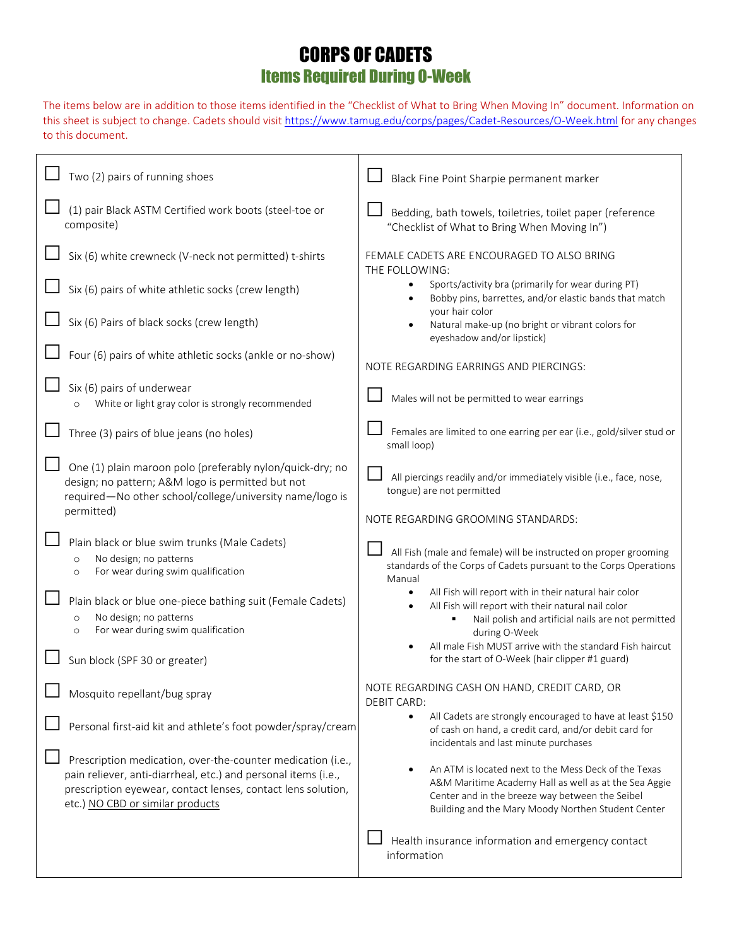## CORPS OF CADETS Items Required During O-Week

The items below are in addition to those items identified in the "Checklist of What to Bring When Moving In" document. Information on this sheet is subject to change. Cadets should visi[t https://www.tamug.edu/corps/pages/Cadet-Resources/O-Week.html](https://www.tamug.edu/corps/pages/Cadet-Resources/O-Week.html) for any changes to this document.

| Two (2) pairs of running shoes                                                                                                                                                                                                    | Black Fine Point Sharpie permanent marker                                                                                                                                                                              |
|-----------------------------------------------------------------------------------------------------------------------------------------------------------------------------------------------------------------------------------|------------------------------------------------------------------------------------------------------------------------------------------------------------------------------------------------------------------------|
| (1) pair Black ASTM Certified work boots (steel-toe or<br>composite)                                                                                                                                                              | Bedding, bath towels, toiletries, toilet paper (reference<br>"Checklist of What to Bring When Moving In")                                                                                                              |
| Six (6) white crewneck (V-neck not permitted) t-shirts                                                                                                                                                                            | FEMALE CADETS ARE ENCOURAGED TO ALSO BRING<br>THE FOLLOWING:                                                                                                                                                           |
| Six (6) pairs of white athletic socks (crew length)                                                                                                                                                                               | Sports/activity bra (primarily for wear during PT)<br>Bobby pins, barrettes, and/or elastic bands that match                                                                                                           |
| Six (6) Pairs of black socks (crew length)                                                                                                                                                                                        | your hair color<br>Natural make-up (no bright or vibrant colors for<br>eyeshadow and/or lipstick)                                                                                                                      |
| Four (6) pairs of white athletic socks (ankle or no-show)                                                                                                                                                                         | NOTE REGARDING EARRINGS AND PIERCINGS:                                                                                                                                                                                 |
| Six (6) pairs of underwear<br>White or light gray color is strongly recommended                                                                                                                                                   | Males will not be permitted to wear earrings                                                                                                                                                                           |
| Three (3) pairs of blue jeans (no holes)                                                                                                                                                                                          | Females are limited to one earring per ear (i.e., gold/silver stud or<br>small loop)                                                                                                                                   |
| One (1) plain maroon polo (preferably nylon/quick-dry; no<br>design; no pattern; A&M logo is permitted but not<br>required-No other school/college/university name/logo is<br>permitted)                                          | All piercings readily and/or immediately visible (i.e., face, nose,<br>tongue) are not permitted<br>NOTE REGARDING GROOMING STANDARDS:                                                                                 |
| Plain black or blue swim trunks (Male Cadets)<br>No design; no patterns<br>$\circ$<br>For wear during swim qualification<br>$\circ$                                                                                               | All Fish (male and female) will be instructed on proper grooming<br>standards of the Corps of Cadets pursuant to the Corps Operations<br>Manual                                                                        |
| Plain black or blue one-piece bathing suit (Female Cadets)<br>No design; no patterns<br>$\circ$<br>For wear during swim qualification<br>$\circ$                                                                                  | All Fish will report with in their natural hair color<br>All Fish will report with their natural nail color<br>Nail polish and artificial nails are not permitted<br>during O-Week                                     |
| Sun block (SPF 30 or greater)                                                                                                                                                                                                     | All male Fish MUST arrive with the standard Fish haircut<br>for the start of O-Week (hair clipper #1 guard)                                                                                                            |
| Mosquito repellant/bug spray                                                                                                                                                                                                      | NOTE REGARDING CASH ON HAND, CREDIT CARD, OR<br><b>DEBIT CARD:</b>                                                                                                                                                     |
| Personal first-aid kit and athlete's foot powder/spray/cream                                                                                                                                                                      | All Cadets are strongly encouraged to have at least \$150<br>of cash on hand, a credit card, and/or debit card for<br>incidentals and last minute purchases                                                            |
| Prescription medication, over-the-counter medication (i.e.,<br>pain reliever, anti-diarrheal, etc.) and personal items (i.e.,<br>prescription eyewear, contact lenses, contact lens solution,<br>etc.) NO CBD or similar products | An ATM is located next to the Mess Deck of the Texas<br>A&M Maritime Academy Hall as well as at the Sea Aggie<br>Center and in the breeze way between the Seibel<br>Building and the Mary Moody Northen Student Center |
|                                                                                                                                                                                                                                   | Health insurance information and emergency contact<br>information                                                                                                                                                      |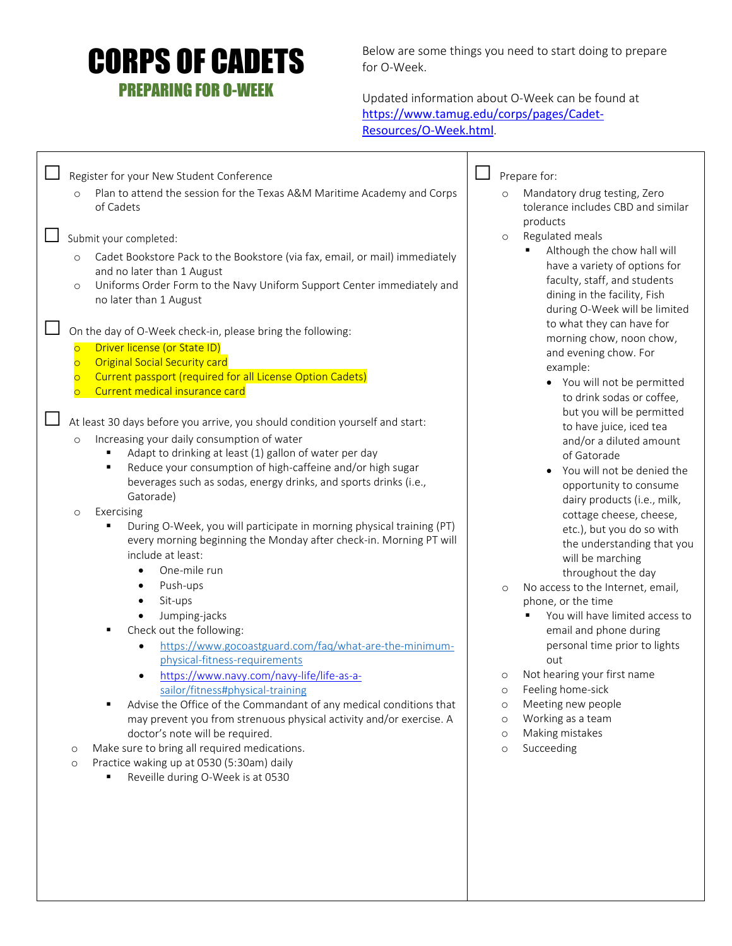## CORPS OF CADETS PREPARING FOR O-WEEK

Below are some things you need to start doing to prepare for O-Week.

Updated information about O-Week can be found at https://www.tamug.edu/corps/pages/Cadet-Resources/O-Week.html.

| Register for your New Student Conference<br>Plan to attend the session for the Texas A&M Maritime Academy and Corps<br>$\circ$                                                                                                                                                                                                                                                                                                                                                                                                                                                          | Prepare for:<br>Mandatory drug testing, Zero                                                                                                                                                                                                                                                                                                                                         |
|-----------------------------------------------------------------------------------------------------------------------------------------------------------------------------------------------------------------------------------------------------------------------------------------------------------------------------------------------------------------------------------------------------------------------------------------------------------------------------------------------------------------------------------------------------------------------------------------|--------------------------------------------------------------------------------------------------------------------------------------------------------------------------------------------------------------------------------------------------------------------------------------------------------------------------------------------------------------------------------------|
| of Cadets                                                                                                                                                                                                                                                                                                                                                                                                                                                                                                                                                                               | tolerance includes CBD and similar<br>products                                                                                                                                                                                                                                                                                                                                       |
| Submit your completed:<br>Cadet Bookstore Pack to the Bookstore (via fax, email, or mail) immediately<br>$\circ$<br>and no later than 1 August<br>Uniforms Order Form to the Navy Uniform Support Center immediately and<br>$\circ$<br>no later than 1 August                                                                                                                                                                                                                                                                                                                           | Regulated meals<br>$\circ$<br>Although the chow hall will<br>have a variety of options for<br>faculty, staff, and students<br>dining in the facility, Fish<br>during O-Week will be limited                                                                                                                                                                                          |
| On the day of O-Week check-in, please bring the following:<br>Driver license (or State ID)<br>$\overline{O}$<br><b>Original Social Security card</b><br>$\overline{O}$<br>Current passport (required for all License Option Cadets)<br>$\circ$<br>Current medical insurance card<br>$\overline{O}$                                                                                                                                                                                                                                                                                      | to what they can have for<br>morning chow, noon chow,<br>and evening chow. For<br>example:<br>• You will not be permitted<br>to drink sodas or coffee,<br>but you will be permitted                                                                                                                                                                                                  |
| At least 30 days before you arrive, you should condition yourself and start:<br>Increasing your daily consumption of water<br>$\circ$<br>Adapt to drinking at least (1) gallon of water per day<br>٠<br>Reduce your consumption of high-caffeine and/or high sugar<br>٠<br>beverages such as sodas, energy drinks, and sports drinks (i.e.,<br>Gatorade)<br>Exercising<br>$\circ$<br>During O-Week, you will participate in morning physical training (PT)<br>٠<br>every morning beginning the Monday after check-in. Morning PT will<br>include at least:<br>One-mile run<br>$\bullet$ | to have juice, iced tea<br>and/or a diluted amount<br>of Gatorade<br>You will not be denied the<br>opportunity to consume<br>dairy products (i.e., milk,<br>cottage cheese, cheese,<br>etc.), but you do so with<br>the understanding that you<br>will be marching                                                                                                                   |
| Push-ups<br>$\bullet$<br>Sit-ups<br>$\bullet$<br>Jumping-jacks<br>Check out the following:<br>٠<br>https://www.gocoastguard.com/faq/what-are-the-minimum-<br>physical-fitness-requirements<br>https://www.navy.com/navy-life/life-as-a-<br>sailor/fitness#physical-training<br>Advise the Office of the Commandant of any medical conditions that<br>п<br>may prevent you from strenuous physical activity and/or exercise. A<br>doctor's note will be required.                                                                                                                        | throughout the day<br>No access to the Internet, email,<br>$\circ$<br>phone, or the time<br>You will have limited access to<br>email and phone during<br>personal time prior to lights<br>out<br>Not hearing your first name<br>$\circ$<br>Feeling home-sick<br>$\circ$<br>Meeting new people<br>$\circ$<br>Working as a team<br>$\circ$<br>Making mistakes<br>$\circ$<br>Succeeding |
| Make sure to bring all required medications.<br>$\circ$<br>Practice waking up at 0530 (5:30am) daily<br>$\circ$<br>Reveille during O-Week is at 0530<br>٠                                                                                                                                                                                                                                                                                                                                                                                                                               | $\circ$                                                                                                                                                                                                                                                                                                                                                                              |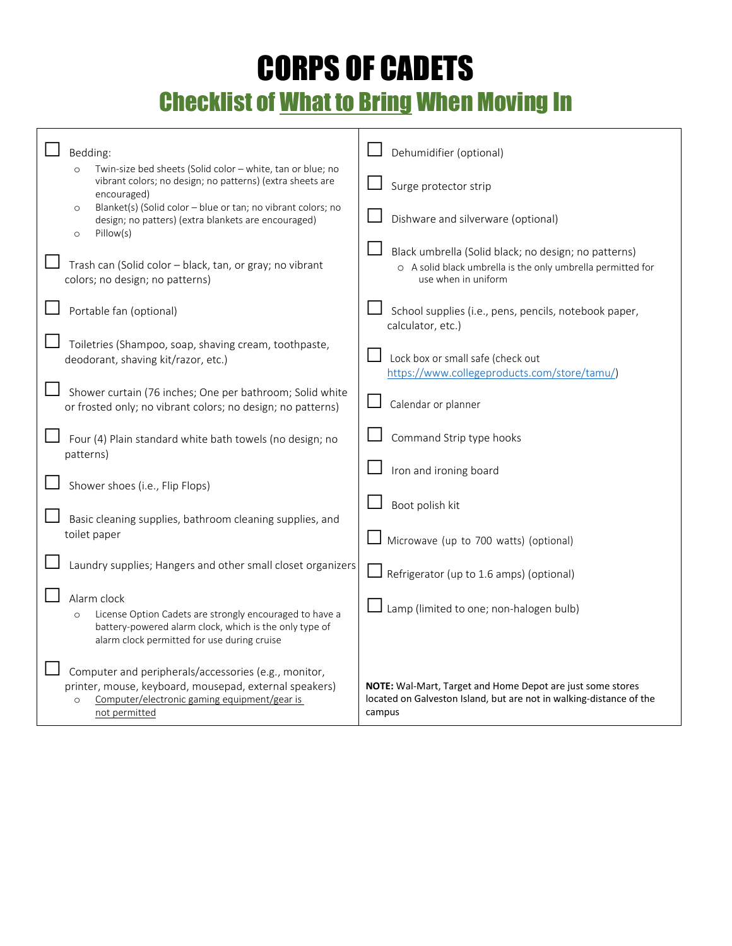## CORPS OF CADETS Checklist of What to Bring When Moving In

| Bedding:<br>$\circ$<br>encouraged)<br>$\circ$           | Twin-size bed sheets (Solid color - white, tan or blue; no<br>vibrant colors; no design; no patterns) (extra sheets are<br>Blanket(s) (Solid color - blue or tan; no vibrant colors; no<br>design; no patters) (extra blankets are encouraged) | Dehumidifier (optional)<br>Surge protector strip<br>Dishware and silverware (optional)                                                      |
|---------------------------------------------------------|------------------------------------------------------------------------------------------------------------------------------------------------------------------------------------------------------------------------------------------------|---------------------------------------------------------------------------------------------------------------------------------------------|
| Pillow(s)<br>$\circ$<br>colors; no design; no patterns) | Trash can (Solid color - black, tan, or gray; no vibrant                                                                                                                                                                                       | Black umbrella (Solid black; no design; no patterns)<br>o A solid black umbrella is the only umbrella permitted for<br>use when in uniform  |
| Portable fan (optional)                                 |                                                                                                                                                                                                                                                | School supplies (i.e., pens, pencils, notebook paper,<br>calculator, etc.)                                                                  |
| deodorant, shaving kit/razor, etc.)                     | Toiletries (Shampoo, soap, shaving cream, toothpaste,                                                                                                                                                                                          | Lock box or small safe (check out<br>https://www.collegeproducts.com/store/tamu/)                                                           |
|                                                         | Shower curtain (76 inches; One per bathroom; Solid white<br>or frosted only; no vibrant colors; no design; no patterns)                                                                                                                        | Calendar or planner                                                                                                                         |
| patterns)                                               | Four (4) Plain standard white bath towels (no design; no                                                                                                                                                                                       | Command Strip type hooks                                                                                                                    |
| Shower shoes (i.e., Flip Flops)                         |                                                                                                                                                                                                                                                | Iron and ironing board                                                                                                                      |
| toilet paper                                            | Basic cleaning supplies, bathroom cleaning supplies, and                                                                                                                                                                                       | Boot polish kit<br>Microwave (up to 700 watts) (optional)                                                                                   |
|                                                         | Laundry supplies; Hangers and other small closet organizers                                                                                                                                                                                    | $\Box$ Refrigerator (up to 1.6 amps) (optional)                                                                                             |
| Alarm clock                                             | License Option Cadets are strongly encouraged to have a<br>battery-powered alarm clock, which is the only type of<br>alarm clock permitted for use during cruise                                                                               | Lamp (limited to one; non-halogen bulb)                                                                                                     |
| $\circ$<br>not permitted                                | Computer and peripherals/accessories (e.g., monitor,<br>printer, mouse, keyboard, mousepad, external speakers)<br>Computer/electronic gaming equipment/gear is                                                                                 | NOTE: Wal-Mart, Target and Home Depot are just some stores<br>located on Galveston Island, but are not in walking-distance of the<br>campus |